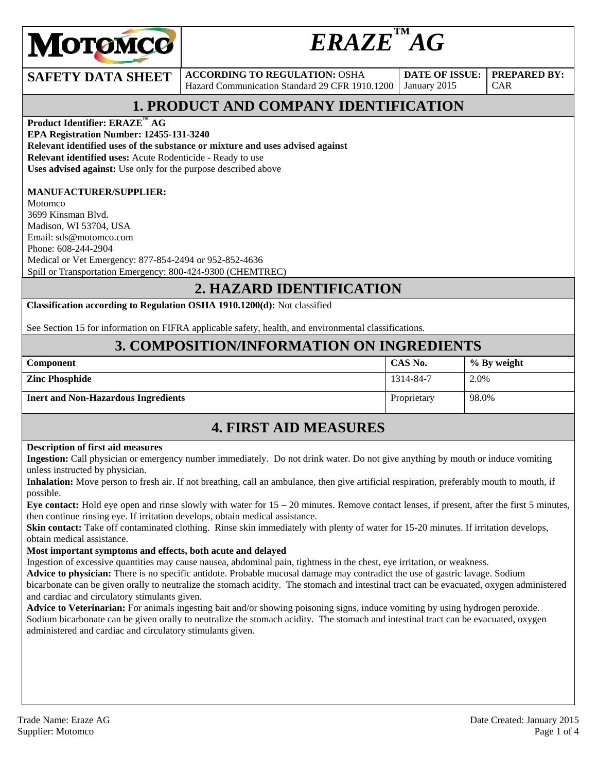

# $ERAZE<sup>™</sup>AG$

**SAFETY DATA SHEET** ACCORDING TO REGULATION: OSHA Hazard Communication Standard 29 CFR 1910.1200

**DATE OF ISSUE:**  January 2015

**PREPARED BY:**  CAR

## **1. PRODUCT AND COMPANY IDENTIFICATION**

**Product Identifier: ERAZE™ AG** 

**EPA Registration Number: 12455-131-3240** 

**Relevant identified uses of the substance or mixture and uses advised against**

**Relevant identified uses:** Acute Rodenticide - Ready to use

**Uses advised against:** Use only for the purpose described above

### **MANUFACTURER/SUPPLIER:**

Motomco 3699 Kinsman Blvd. Madison, WI 53704, USA Email: sds@motomco.com Phone: 608-244-2904 Medical or Vet Emergency: 877-854-2494 or 952-852-4636 Spill or Transportation Emergency: 800-424-9300 (CHEMTREC)

### **2. HAZARD IDENTIFICATION**

**Classification according to Regulation OSHA 1910.1200(d):** Not classified

See Section 15 for information on FIFRA applicable safety, health, and environmental classifications.

### **3. COMPOSITION/INFORMATION ON INGREDIENTS**

| <b>Component</b>                           | CAS No.     | % By weight |
|--------------------------------------------|-------------|-------------|
| <b>Zinc Phosphide</b>                      | 1314-84-7   | 2.0%        |
| <b>Inert and Non-Hazardous Ingredients</b> | Proprietary | 98.0%       |

### **4. FIRST AID MEASURES**

#### **Description of first aid measures**

**Ingestion:** Call physician or emergency number immediately. Do not drink water. Do not give anything by mouth or induce vomiting unless instructed by physician.

**Inhalation:** Move person to fresh air. If not breathing, call an ambulance, then give artificial respiration, preferably mouth to mouth, if possible.

**Eye contact:** Hold eye open and rinse slowly with water for 15 – 20 minutes. Remove contact lenses, if present, after the first 5 minutes, then continue rinsing eye. If irritation develops, obtain medical assistance.

**Skin contact:** Take off contaminated clothing. Rinse skin immediately with plenty of water for 15-20 minutes. If irritation develops, obtain medical assistance.

#### **Most important symptoms and effects, both acute and delayed**

Ingestion of excessive quantities may cause nausea, abdominal pain, tightness in the chest, eye irritation, or weakness.

**Advice to physician:** There is no specific antidote. Probable mucosal damage may contradict the use of gastric lavage. Sodium bicarbonate can be given orally to neutralize the stomach acidity. The stomach and intestinal tract can be evacuated, oxygen administered and cardiac and circulatory stimulants given.<br>**Advice to Veterinarian:** For animals ingesting bait and/or showing poisoning signs, induce vomiting by using hydrogen peroxide.

Sodium bicarbonate can be given orally to neutralize the stomach acidity. The stomach and intestinal tract can be evacuated, oxygen administered and cardiac and circulatory stimulants given.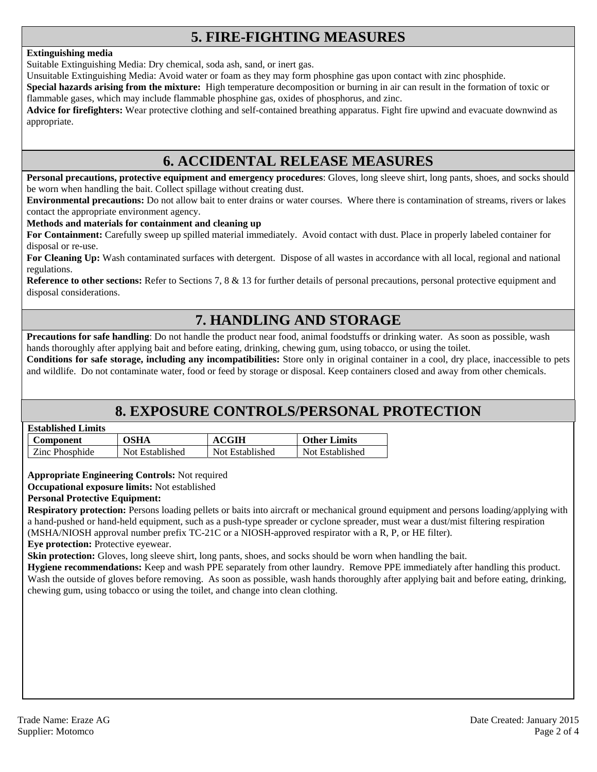### **5. FIRE-FIGHTING MEASURES**

#### **Extinguishing media**

Suitable Extinguishing Media: Dry chemical, soda ash, sand, or inert gas.

Unsuitable Extinguishing Media: Avoid water or foam as they may form phosphine gas upon contact with zinc phosphide.

**Special hazards arising from the mixture:** High temperature decomposition or burning in air can result in the formation of toxic or flammable gases, which may include flammable phosphine gas, oxides of phosphorus, and zinc.

**Advice for firefighters:** Wear protective clothing and self-contained breathing apparatus. Fight fire upwind and evacuate downwind as appropriate.

### **6. ACCIDENTAL RELEASE MEASURES**

**Personal precautions, protective equipment and emergency procedures**: Gloves, long sleeve shirt, long pants, shoes, and socks should be worn when handling the bait. Collect spillage without creating dust.

**Environmental precautions:** Do not allow bait to enter drains or water courses. Where there is contamination of streams, rivers or lakes contact the appropriate environment agency.

#### **Methods and materials for containment and cleaning up**

**For Containment:** Carefully sweep up spilled material immediately. Avoid contact with dust. Place in properly labeled container for disposal or re-use.

**For Cleaning Up:** Wash contaminated surfaces with detergent. Dispose of all wastes in accordance with all local, regional and national regulations.

**Reference to other sections:** Refer to Sections 7, 8 & 13 for further details of personal precautions, personal protective equipment and disposal considerations.

### **7. HANDLING AND STORAGE**

**Precautions for safe handling**: Do not handle the product near food, animal foodstuffs or drinking water. As soon as possible, wash hands thoroughly after applying bait and before eating, drinking, chewing gum, using tobacco, or using the toilet.

**Conditions for safe storage, including any incompatibilities:** Store only in original container in a cool, dry place, inaccessible to pets and wildlife. Do not contaminate water, food or feed by storage or disposal. Keep containers closed and away from other chemicals.

### **8. EXPOSURE CONTROLS/PERSONAL PROTECTION**

#### **Established Limits**

| Component      | OSHA            | <b>ACGIH</b>    | <b>Other Limits</b> |
|----------------|-----------------|-----------------|---------------------|
| Zinc Phosphide | Not Established | Not Established | Not Established     |

**Appropriate Engineering Controls:** Not required

**Occupational exposure limits:** Not established

#### **Personal Protective Equipment:**

**Respiratory protection:** Persons loading pellets or baits into aircraft or mechanical ground equipment and persons loading/applying with a hand-pushed or hand-held equipment, such as a push-type spreader or cyclone spreader, must wear a dust/mist filtering respiration (MSHA/NIOSH approval number prefix TC-21C or a NIOSH-approved respirator with a R, P, or HE filter).

**Eye protection:** Protective eyewear.

**Skin protection:** Gloves, long sleeve shirt, long pants, shoes, and socks should be worn when handling the bait.

**Hygiene recommendations:** Keep and wash PPE separately from other laundry. Remove PPE immediately after handling this product. Wash the outside of gloves before removing. As soon as possible, wash hands thoroughly after applying bait and before eating, drinking, chewing gum, using tobacco or using the toilet, and change into clean clothing.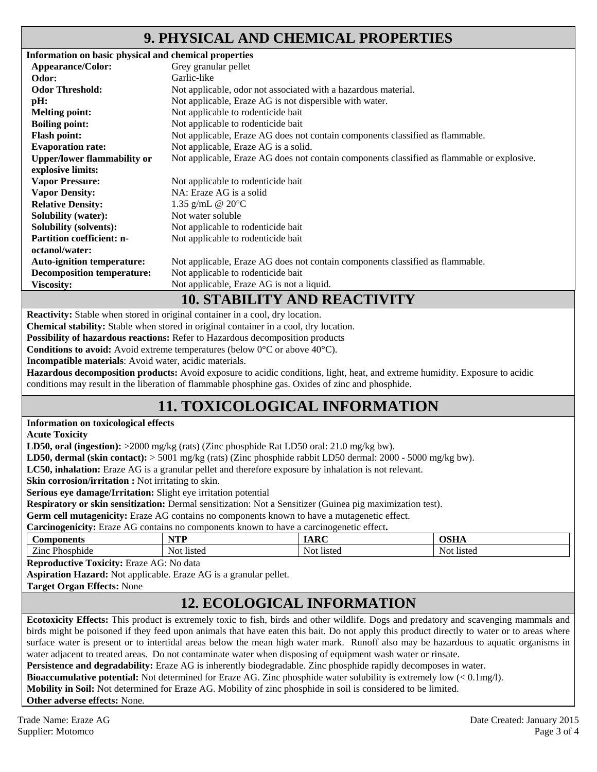### **9. PHYSICAL AND CHEMICAL PROPERTIES**

| Information on basic physical and chemical properties |                                                                                            |
|-------------------------------------------------------|--------------------------------------------------------------------------------------------|
| Appearance/Color:                                     | Grey granular pellet                                                                       |
| Odor:                                                 | Garlic-like                                                                                |
| <b>Odor Threshold:</b>                                | Not applicable, odor not associated with a hazardous material.                             |
| pH:                                                   | Not applicable, Eraze AG is not dispersible with water.                                    |
| <b>Melting point:</b>                                 | Not applicable to rodenticide bait                                                         |
| <b>Boiling point:</b>                                 | Not applicable to rodenticide bait                                                         |
| <b>Flash point:</b>                                   | Not applicable, Eraze AG does not contain components classified as flammable.              |
| <b>Evaporation rate:</b>                              | Not applicable, Eraze AG is a solid.                                                       |
| <b>Upper/lower flammability or</b>                    | Not applicable, Eraze AG does not contain components classified as flammable or explosive. |
| explosive limits:                                     |                                                                                            |
| <b>Vapor Pressure:</b>                                | Not applicable to rodenticide bait                                                         |
| <b>Vapor Density:</b>                                 | NA: Eraze AG is a solid                                                                    |
| <b>Relative Density:</b>                              | 1.35 g/mL @ $20^{\circ}$ C                                                                 |
| <b>Solubility (water):</b>                            | Not water soluble                                                                          |
| <b>Solubility (solvents):</b>                         | Not applicable to rodenticide bait                                                         |
| <b>Partition coefficient: n-</b>                      | Not applicable to rodenticide bait                                                         |
| octanol/water:                                        |                                                                                            |
| <b>Auto-ignition temperature:</b>                     | Not applicable, Eraze AG does not contain components classified as flammable.              |
| <b>Decomposition temperature:</b>                     | Not applicable to rodenticide bait                                                         |
| <b>Viscosity:</b>                                     | Not applicable, Eraze AG is not a liquid.                                                  |
|                                                       | <b>10. STABILITY AND REACTIVITY</b>                                                        |

**Reactivity:** Stable when stored in original container in a cool, dry location.

**Chemical stability:** Stable when stored in original container in a cool, dry location.

**Possibility of hazardous reactions:** Refer to Hazardous decomposition products

**Conditions to avoid:** Avoid extreme temperatures (below 0<sup>o</sup>C or above 40<sup>o</sup>C).

**Incompatible materials**: Avoid water, acidic materials.

**Hazardous decomposition products:** Avoid exposure to acidic conditions, light, heat, and extreme humidity. Exposure to acidic conditions may result in the liberation of flammable phosphine gas. Oxides of zinc and phosphide.

### **11. TOXICOLOGICAL INFORMATION**

#### **Information on toxicological effects**

**Acute Toxicity** 

**LD50, oral (ingestion):** >2000 mg/kg (rats) (Zinc phosphide Rat LD50 oral: 21.0 mg/kg bw).

**LD50, dermal (skin contact):** > 5001 mg/kg (rats) (Zinc phosphide rabbit LD50 dermal: 2000 - 5000 mg/kg bw).

**LC50, inhalation:** Eraze AG is a granular pellet and therefore exposure by inhalation is not relevant.

**Skin corrosion/irritation :** Not irritating to skin.

**Serious eye damage/Irritation:** Slight eye irritation potential

**Respiratory or skin sensitization:** Dermal sensitization: Not a Sensitizer (Guinea pig maximization test).

**Germ cell mutagenicity:** Eraze AG contains no components known to have a mutagenetic effect.

**Carcinogenicity:** Eraze AG contains no components known to have a carcinogenetic effect**.** 

| าonents                                                               | w                    | $\mathbf{r}$         | $\sim$ $\sim$ $\sim$ |
|-----------------------------------------------------------------------|----------------------|----------------------|----------------------|
| ∠omp∕                                                                 | .                    | <i><b>IIMA</b></i>   | ,,,,,,               |
| $\overline{\phantom{a}}$<br>$\mathbf{m}$<br>Phosphide<br>$\angle$ inc | <b>listed</b><br>Not | Noi<br><b>listec</b> | Noi<br><b>listed</b> |

**Reproductive Toxicity:** Eraze AG: No data

**Aspiration Hazard:** Not applicable. Eraze AG is a granular pellet.

**Target Organ Effects:** None

### **12. ECOLOGICAL INFORMATION**

**Ecotoxicity Effects:** This product is extremely toxic to fish, birds and other wildlife. Dogs and predatory and scavenging mammals and birds might be poisoned if they feed upon animals that have eaten this bait. Do not apply this product directly to water or to areas where surface water is present or to intertidal areas below the mean high water mark. Runoff also may be hazardous to aquatic organisms in water adjacent to treated areas. Do not contaminate water when disposing of equipment wash water or rinsate.

**Persistence and degradability:** Eraze AG is inherently biodegradable. Zinc phosphide rapidly decomposes in water.

**Bioaccumulative potential:** Not determined for Eraze AG. Zinc phosphide water solubility is extremely low (< 0.1mg/l).

**Mobility in Soil:** Not determined for Eraze AG. Mobility of zinc phosphide in soil is considered to be limited.

**Other adverse effects:** None.